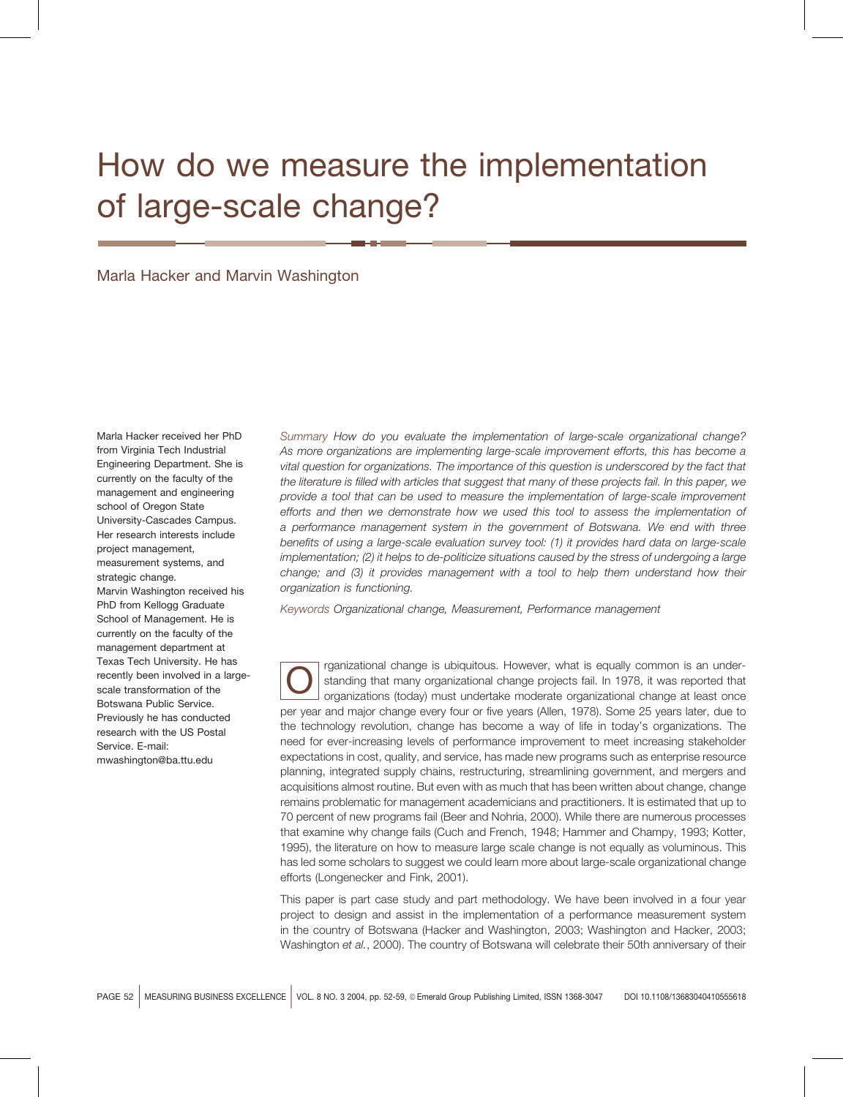# How do we measure the implementation of large-scale change?

Marla Hacker and Marvin Washington

Marla Hacker received her PhD from Virginia Tech Industrial Engineering Department. She is currently on the faculty of the management and engineering school of Oregon State University-Cascades Campus. Her research interests include project management, measurement systems, and strategic change. Marvin Washington received his PhD from Kellogg Graduate

School of Management. He is currently on the faculty of the management department at Texas Tech University. He has recently been involved in a largescale transformation of the Botswana Public Service. Previously he has conducted research with the US Postal Service, F-mail: mwashington@ba.ttu.edu

Summary How do you evaluate the implementation of large-scale organizational change? As more organizations are implementing large-scale improvement efforts, this has become a vital question for organizations. The importance of this question is underscored by the fact that the literature is filled with articles that suggest that many of these projects fail. In this paper, we provide a tool that can be used to measure the implementation of large-scale improvement efforts and then we demonstrate how we used this tool to assess the implementation of a performance management system in the government of Botswana. We end with three benefits of using a large-scale evaluation survey tool: (1) it provides hard data on large-scale implementation; (2) it helps to de-politicize situations caused by the stress of undergoing a large change; and (3) it provides management with a tool to help them understand how their organization is functioning.

Keywords Organizational change, Measurement, Performance management

rganizational change is ubiquitous. However, what is equally common is an understanding that many organizational change projects fail. In 1978, it was reported that organizations (today) must undertake moderate organizational change at least once per year and major change every four or five years (Allen, 1978). Some 25 years later, due to the technology revolution, change has become a way of life in today's organizations. The need for ever-increasing levels of performance improvement to meet increasing stakeholder expectations in cost, quality, and service, has made new programs such as enterprise resource planning, integrated supply chains, restructuring, streamlining government, and mergers and acquisitions almost routine. But even with as much that has been written about change, change remains problematic for management academicians and practitioners. It is estimated that up to 70 percent of new programs fail (Beer and Nohria, 2000). While there are numerous processes that examine why change fails (Cuch and French, 1948; Hammer and Champy, 1993; Kotter, 1995), the literature on how to measure large scale change is not equally as voluminous. This has led some scholars to suggest we could learn more about large-scale organizational change efforts (Longenecker and Fink, 2001).

This paper is part case study and part methodology. We have been involved in a four year project to design and assist in the implementation of a performance measurement system in the country of Botswana (Hacker and Washington, 2003; Washington and Hacker, 2003; Washington et al., 2000). The country of Botswana will celebrate their 50th anniversary of their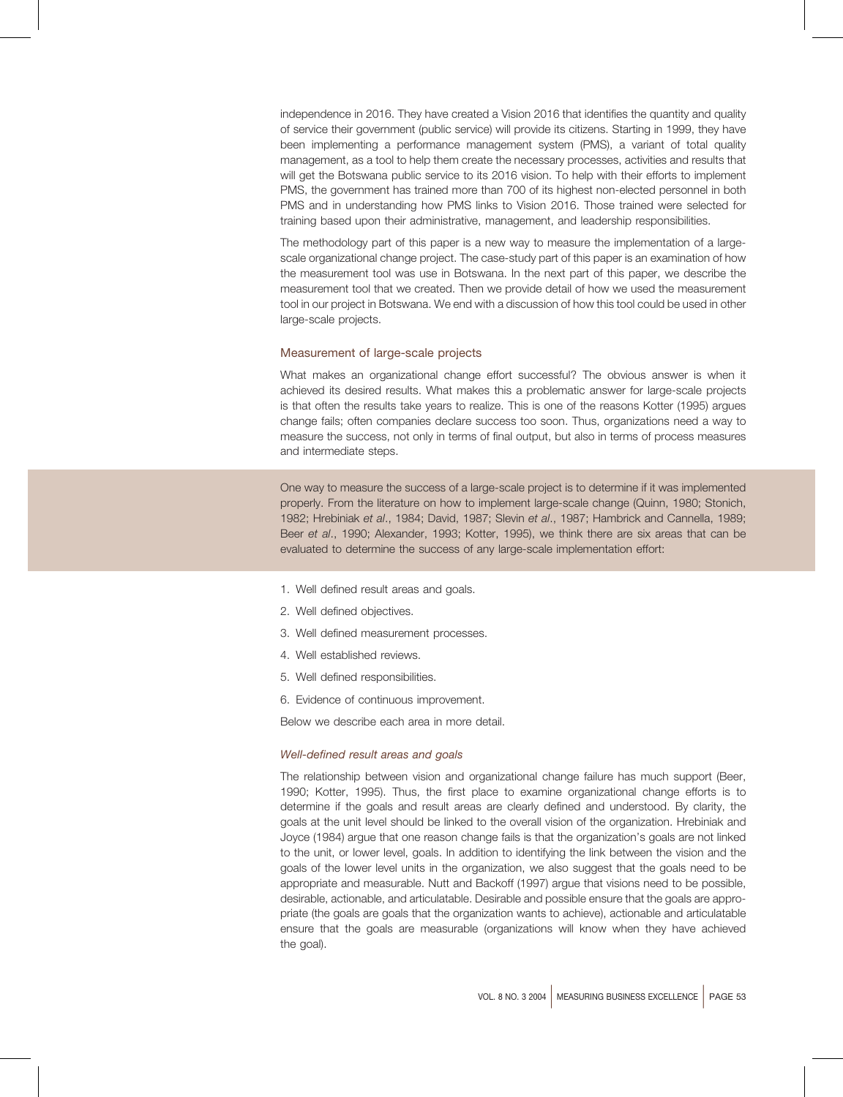independence in 2016. They have created a Vision 2016 that identifies the quantity and quality of service their government (public service) will provide its citizens. Starting in 1999, they have been implementing a performance management system (PMS), a variant of total quality management, as a tool to help them create the necessary processes, activities and results that will get the Botswana public service to its 2016 vision. To help with their efforts to implement PMS, the government has trained more than 700 of its highest non-elected personnel in both PMS and in understanding how PMS links to Vision 2016. Those trained were selected for training based upon their administrative, management, and leadership responsibilities.

The methodology part of this paper is a new way to measure the implementation of a largescale organizational change project. The case-study part of this paper is an examination of how the measurement tool was use in Botswana. In the next part of this paper, we describe the measurement tool that we created. Then we provide detail of how we used the measurement tool in our project in Botswana. We end with a discussion of how this tool could be used in other large-scale projects.

# Measurement of large-scale projects

What makes an organizational change effort successful? The obvious answer is when it achieved its desired results. What makes this a problematic answer for large-scale projects is that often the results take years to realize. This is one of the reasons Kotter (1995) argues change fails; often companies declare success too soon. Thus, organizations need a way to measure the success, not only in terms of final output, but also in terms of process measures and intermediate steps.

One way to measure the success of a large-scale project is to determine if it was implemented properly. From the literature on how to implement large-scale change (Quinn, 1980; Stonich, 1982; Hrebiniak et al., 1984; David, 1987; Slevin et al., 1987; Hambrick and Cannella, 1989; Beer et al., 1990; Alexander, 1993; Kotter, 1995), we think there are six areas that can be evaluated to determine the success of any large-scale implementation effort:

- 1. Well defined result areas and goals.
- 2. Well defined objectives.
- 3. Well defined measurement processes.
- 4. Well established reviews.
- 5. Well defined responsibilities.
- 6. Evidence of continuous improvement.

Below we describe each area in more detail.

#### Well-defined result areas and goals

The relationship between vision and organizational change failure has much support (Beer, 1990; Kotter, 1995). Thus, the first place to examine organizational change efforts is to determine if the goals and result areas are clearly defined and understood. By clarity, the goals at the unit level should be linked to the overall vision of the organization. Hrebiniak and Joyce (1984) argue that one reason change fails is that the organization's goals are not linked to the unit, or lower level, goals. In addition to identifying the link between the vision and the goals of the lower level units in the organization, we also suggest that the goals need to be appropriate and measurable. Nutt and Backoff (1997) argue that visions need to be possible, desirable, actionable, and articulatable. Desirable and possible ensure that the goals are appropriate (the goals are goals that the organization wants to achieve), actionable and articulatable ensure that the goals are measurable (organizations will know when they have achieved the goal).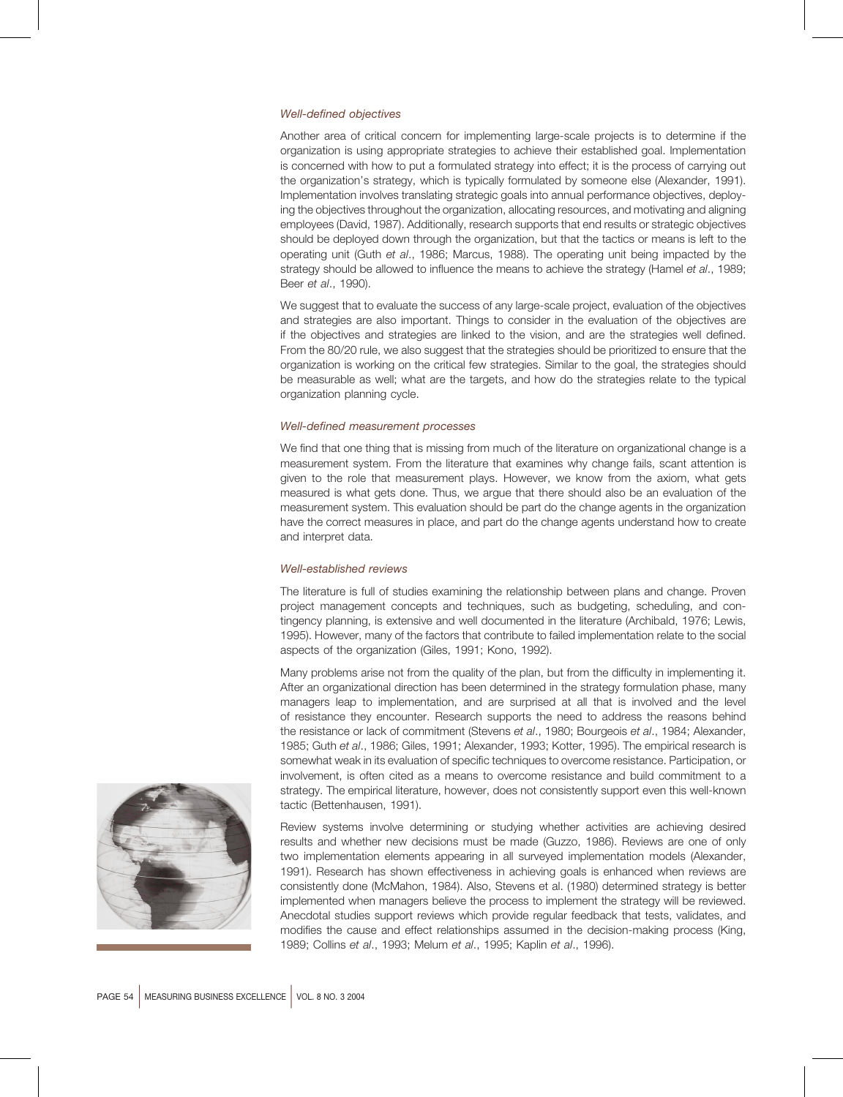# **Well-defined objectives**

Another area of critical concern for implementing large-scale projects is to determine if the organization is using appropriate strategies to achieve their established goal. Implementation is concerned with how to put a formulated strategy into effect; it is the process of carrying out the organization's strategy, which is typically formulated by someone else (Alexander, 1991). Implementation involves translating strategic goals into annual performance objectives, deploying the objectives throughout the organization, allocating resources, and motivating and aligning employees (David, 1987). Additionally, research supports that end results or strategic objectives should be deployed down through the organization, but that the tactics or means is left to the operating unit (Guth et al., 1986; Marcus, 1988). The operating unit being impacted by the strategy should be allowed to influence the means to achieve the strategy (Hamel et al., 1989; Beer et al., 1990).

We suggest that to evaluate the success of any large-scale project, evaluation of the objectives and strategies are also important. Things to consider in the evaluation of the objectives are if the objectives and strategies are linked to the vision, and are the strategies well defined. From the 80/20 rule, we also suggest that the strategies should be prioritized to ensure that the organization is working on the critical few strategies. Similar to the goal, the strategies should be measurable as well; what are the targets, and how do the strategies relate to the typical organization planning cycle.

# Well-defined measurement processes

We find that one thing that is missing from much of the literature on organizational change is a measurement system. From the literature that examines why change fails, scant attention is given to the role that measurement plays. However, we know from the axiom, what gets measured is what gets done. Thus, we arque that there should also be an evaluation of the measurement system. This evaluation should be part do the change agents in the organization have the correct measures in place, and part do the change agents understand how to create and interpret data.

# Well-established reviews

The literature is full of studies examining the relationship between plans and change. Proven project management concepts and techniques, such as budgeting, scheduling, and contingency planning, is extensive and well documented in the literature (Archibald, 1976; Lewis, 1995). However, many of the factors that contribute to failed implementation relate to the social aspects of the organization (Giles, 1991; Kono, 1992).

Many problems arise not from the quality of the plan, but from the difficulty in implementing it. After an organizational direction has been determined in the strategy formulation phase, many managers leap to implementation, and are surprised at all that is involved and the level of resistance they encounter. Research supports the need to address the reasons behind the resistance or lack of commitment (Stevens et al., 1980; Bourgeois et al., 1984; Alexander, 1985; Guth et al., 1986; Giles, 1991; Alexander, 1993; Kotter, 1995). The empirical research is somewhat weak in its evaluation of specific techniques to overcome resistance. Participation, or involvement, is often cited as a means to overcome resistance and build commitment to a strategy. The empirical literature, however, does not consistently support even this well-known tactic (Bettenhausen, 1991).

Review systems involve determining or studying whether activities are achieving desired results and whether new decisions must be made (Guzzo, 1986). Reviews are one of only two implementation elements appearing in all surveyed implementation models (Alexander, 1991). Research has shown effectiveness in achieving goals is enhanced when reviews are consistently done (McMahon, 1984). Also, Stevens et al. (1980) determined strategy is better implemented when managers believe the process to implement the strategy will be reviewed. Anecdotal studies support reviews which provide regular feedback that tests, validates, and modifies the cause and effect relationships assumed in the decision-making process (King, 1989: Collins et al., 1993: Melum et al., 1995: Kaplin et al., 1996).

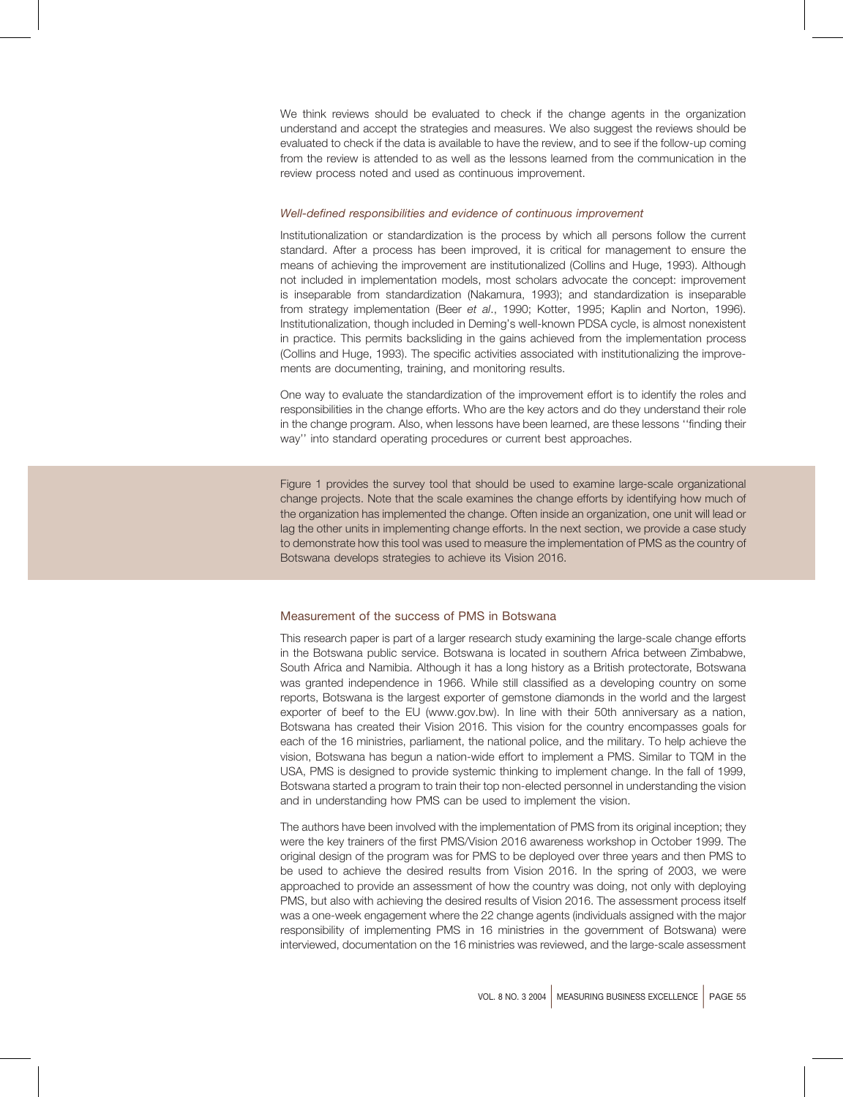We think reviews should be evaluated to check if the change agents in the organization understand and accept the strategies and measures. We also suggest the reviews should be evaluated to check if the data is available to have the review, and to see if the follow-up coming from the review is attended to as well as the lessons learned from the communication in the review process noted and used as continuous improvement.

# Well-defined responsibilities and evidence of continuous improvement

Institutionalization or standardization is the process by which all persons follow the current standard. After a process has been improved, it is critical for management to ensure the means of achieving the improvement are institutionalized (Collins and Huge, 1993). Although not included in implementation models, most scholars advocate the concept: improvement is inseparable from standardization (Nakamura, 1993); and standardization is inseparable from strategy implementation (Beer et al., 1990; Kotter, 1995; Kaplin and Norton, 1996). Institutionalization, though included in Deming's well-known PDSA cycle, is almost nonexistent in practice. This permits backsliding in the gains achieved from the implementation process (Collins and Huge, 1993). The specific activities associated with institutionalizing the improvements are documenting, training, and monitoring results.

One way to evaluate the standardization of the improvement effort is to identify the roles and responsibilities in the change efforts. Who are the key actors and do they understand their role in the change program. Also, when lessons have been learned, are these lessons "finding their way" into standard operating procedures or current best approaches.

Figure 1 provides the survey tool that should be used to examine large-scale organizational change projects. Note that the scale examines the change efforts by identifying how much of the organization has implemented the change. Often inside an organization, one unit will lead or lag the other units in implementing change efforts. In the next section, we provide a case study to demonstrate how this tool was used to measure the implementation of PMS as the country of Botswana develops strategies to achieve its Vision 2016.

#### Measurement of the success of PMS in Botswana

This research paper is part of a larger research study examining the large-scale change efforts in the Botswana public service. Botswana is located in southern Africa between Zimbabwe, South Africa and Namibia. Although it has a long history as a British protectorate, Botswana was granted independence in 1966. While still classified as a developing country on some reports, Botswana is the largest exporter of gemstone diamonds in the world and the largest exporter of beef to the EU (www.gov.bw). In line with their 50th anniversary as a nation, Botswana has created their Vision 2016. This vision for the country encompasses goals for each of the 16 ministries, parliament, the national police, and the military. To help achieve the vision, Botswana has begun a nation-wide effort to implement a PMS. Similar to TQM in the USA, PMS is designed to provide systemic thinking to implement change. In the fall of 1999, Botswana started a program to train their top non-elected personnel in understanding the vision and in understanding how PMS can be used to implement the vision.

The authors have been involved with the implementation of PMS from its original inception; they were the key trainers of the first PMS/Vision 2016 awareness workshop in October 1999. The original design of the program was for PMS to be deployed over three years and then PMS to be used to achieve the desired results from Vision 2016. In the spring of 2003, we were approached to provide an assessment of how the country was doing, not only with deploying PMS, but also with achieving the desired results of Vision 2016. The assessment process itself was a one-week engagement where the 22 change agents (individuals assigned with the major responsibility of implementing PMS in 16 ministries in the government of Botswana) were interviewed, documentation on the 16 ministries was reviewed, and the large-scale assessment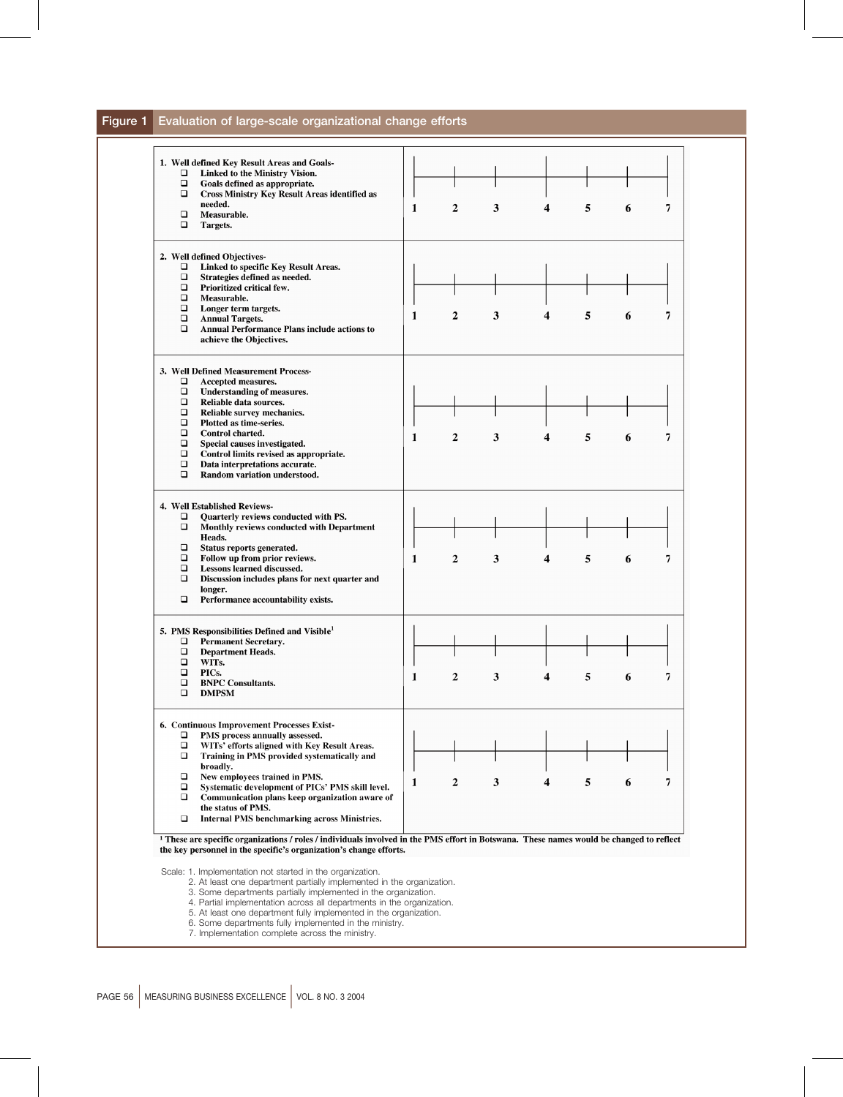#### Evaluation of large-scale organizational change efforts Figure 1

| □<br>$\Box$<br>□                                                                  | Linked to the Ministry Vision.<br>Goals defined as appropriate.<br><b>Cross Ministry Key Result Areas identified as</b>                                                                                                                                                                                                                                                                              |   |                |   |   |   |   |  |
|-----------------------------------------------------------------------------------|------------------------------------------------------------------------------------------------------------------------------------------------------------------------------------------------------------------------------------------------------------------------------------------------------------------------------------------------------------------------------------------------------|---|----------------|---|---|---|---|--|
| □<br>□                                                                            | needed.<br>Measurable.<br>Targets.                                                                                                                                                                                                                                                                                                                                                                   | 1 | $\overline{2}$ | 3 | 4 | 5 | 6 |  |
| о<br>$\Box$<br>$\Box$<br>$\Box$<br>$\Box$<br>$\Box$<br>□                          | 2. Well defined Objectives-<br>Linked to specific Key Result Areas.<br>Strategies defined as needed.<br>Prioritized critical few.<br>Measurable.<br>Longer term targets.<br><b>Annual Targets.</b><br>Annual Performance Plans include actions to<br>achieve the Objectives.                                                                                                                         | 1 | 2              | 3 | 4 | 5 | 6 |  |
| □<br>$\Box$<br>□<br>$\Box$<br>$\Box$<br>$\Box$<br>$\Box$<br>$\Box$<br>□<br>$\Box$ | 3. Well Defined Measurement Process-<br>Accepted measures.<br>Understanding of measures.<br>Reliable data sources.<br>Reliable survey mechanics.<br>Plotted as time-series.<br>Control charted.<br>Special causes investigated.<br>Control limits revised as appropriate.<br>Data interpretations accurate.<br>Random variation understood.                                                          | 1 | 2              | 3 | 4 | 5 | 6 |  |
| ❏<br>$\Box$<br>$\Box$<br>$\Box$<br>$\Box$<br>□<br>□                               | 4. Well Established Reviews-<br>Quarterly reviews conducted with PS.<br>Monthly reviews conducted with Department<br>Heads.<br>Status reports generated.<br>Follow up from prior reviews.<br>Lessons learned discussed.<br>Discussion includes plans for next quarter and<br>longer.<br>Performance accountability exists.                                                                           | 1 | 2              | 3 | 4 | 5 | 6 |  |
| □<br>$\Box$<br>$\Box$<br>□<br>$\Box$<br>□                                         | 5. PMS Responsibilities Defined and Visible <sup>1</sup><br><b>Permanent Secretary.</b><br><b>Department Heads.</b><br>WITs.<br>PICs.<br><b>BNPC Consultants.</b><br><b>DMPSM</b>                                                                                                                                                                                                                    | 1 | 2              | 3 |   | 5 | 6 |  |
| ❏<br>□<br>□<br>□<br>□<br>□<br>$\Box$                                              | 6. Continuous Improvement Processes Exist-<br>PMS process annually assessed.<br>WITs' efforts aligned with Key Result Areas.<br>Training in PMS provided systematically and<br>broadly.<br>New employees trained in PMS.<br>Systematic development of PICs' PMS skill level.<br>Communication plans keep organization aware of<br>the status of PMS.<br>Internal PMS benchmarking across Ministries. | 1 | 2              | 3 | 4 | 5 | 6 |  |
|                                                                                   | <sup>1</sup> These are specific organizations / roles / individuals involved in the PMS effort in Botswana. These names would be changed to reflect<br>the key personnel in the specific's organization's change efforts.<br>Scale: 1. Implementation not started in the organization.                                                                                                               |   |                |   |   |   |   |  |

- 3. Some departments partially implemented in the organization.<br>4. Partial implementation across all departments in the organization.<br>5. At least one department fully implemented in the organization.<br>6. Some departments ful
- 
- 
-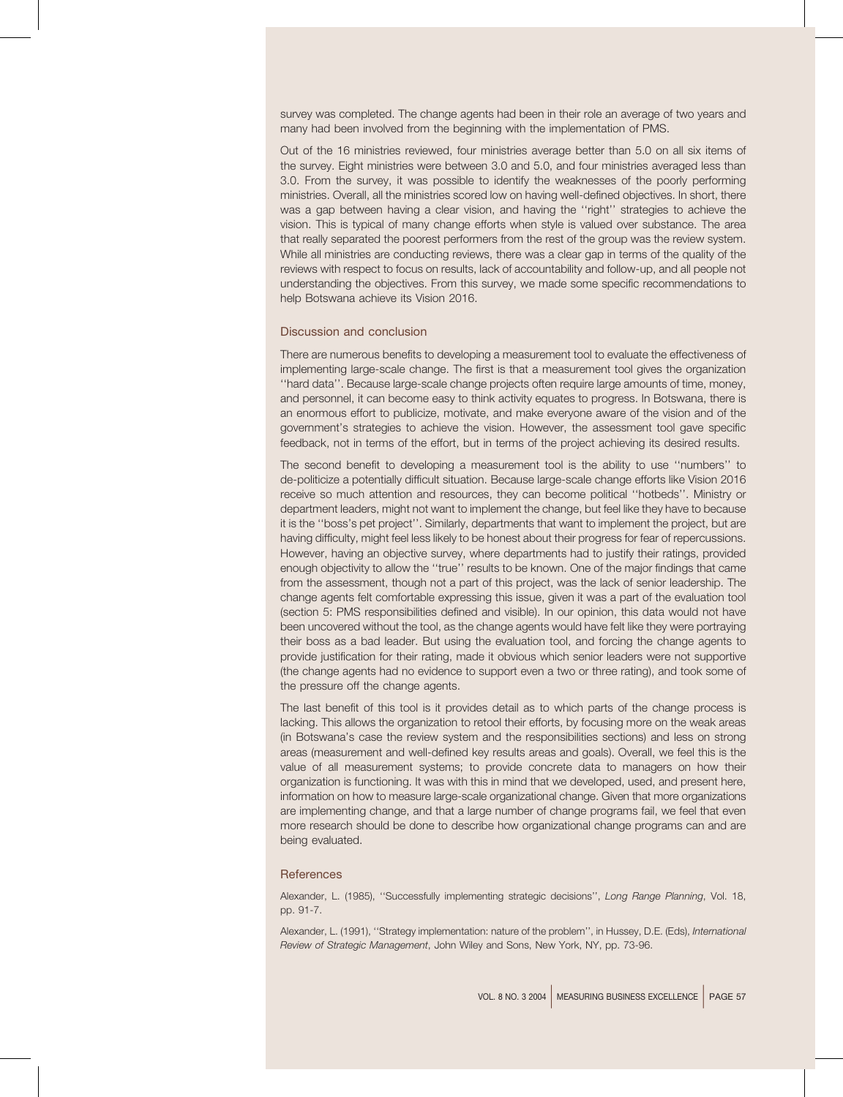survey was completed. The change agents had been in their role an average of two years and many had been involved from the beginning with the implementation of PMS.

Out of the 16 ministries reviewed, four ministries average better than 5.0 on all six items of the survey. Eight ministries were between 3.0 and 5.0, and four ministries averaged less than 3.0. From the survey, it was possible to identify the weaknesses of the poorly performing ministries. Overall, all the ministries scored low on having well-defined objectives. In short, there was a gap between having a clear vision, and having the "right" strategies to achieve the vision. This is typical of many change efforts when style is valued over substance. The area that really separated the poorest performers from the rest of the group was the review system. While all ministries are conducting reviews, there was a clear gap in terms of the quality of the reviews with respect to focus on results, lack of accountability and follow-up, and all people not understanding the objectives. From this survey, we made some specific recommendations to help Botswana achieve its Vision 2016.

#### Discussion and conclusion

There are numerous benefits to developing a measurement tool to evaluate the effectiveness of implementing large-scale change. The first is that a measurement tool gives the organization "hard data". Because large-scale change projects often require large amounts of time, money, and personnel, it can become easy to think activity equates to progress. In Botswana, there is an enormous effort to publicize, motivate, and make everyone aware of the vision and of the government's strategies to achieve the vision. However, the assessment tool gave specific feedback, not in terms of the effort, but in terms of the project achieving its desired results.

The second benefit to developing a measurement tool is the ability to use "numbers" to de-politicize a potentially difficult situation. Because large-scale change efforts like Vision 2016 receive so much attention and resources, they can become political "hotbeds". Ministry or department leaders, might not want to implement the change, but feel like they have to because it is the "boss's pet project". Similarly, departments that want to implement the project, but are having difficulty, might feel less likely to be honest about their progress for fear of repercussions. However, having an objective survey, where departments had to justify their ratings, provided enough objectivity to allow the "true" results to be known. One of the major findings that came from the assessment, though not a part of this project, was the lack of senior leadership. The change agents felt comfortable expressing this issue, given it was a part of the evaluation tool (section 5: PMS responsibilities defined and visible). In our opinion, this data would not have been uncovered without the tool, as the change agents would have felt like they were portraying their boss as a bad leader. But using the evaluation tool, and forcing the change agents to provide justification for their rating, made it obvious which senior leaders were not supportive (the change agents had no evidence to support even a two or three rating), and took some of the pressure off the change agents.

The last benefit of this tool is it provides detail as to which parts of the change process is lacking. This allows the organization to retool their efforts, by focusing more on the weak areas (in Botswana's case the review system and the responsibilities sections) and less on strong areas (measurement and well-defined key results areas and goals). Overall, we feel this is the value of all measurement systems; to provide concrete data to managers on how their organization is functioning. It was with this in mind that we developed, used, and present here, information on how to measure large-scale organizational change. Given that more organizations are implementing change, and that a large number of change programs fail, we feel that even more research should be done to describe how organizational change programs can and are being evaluated.

#### References

Alexander, L. (1985), "Successfully implementing strategic decisions", Long Range Planning, Vol. 18, pp. 91-7.

Alexander, L. (1991), "Strategy implementation: nature of the problem", in Hussey, D.E. (Eds), International Review of Strategic Management, John Wiley and Sons, New York, NY, pp. 73-96.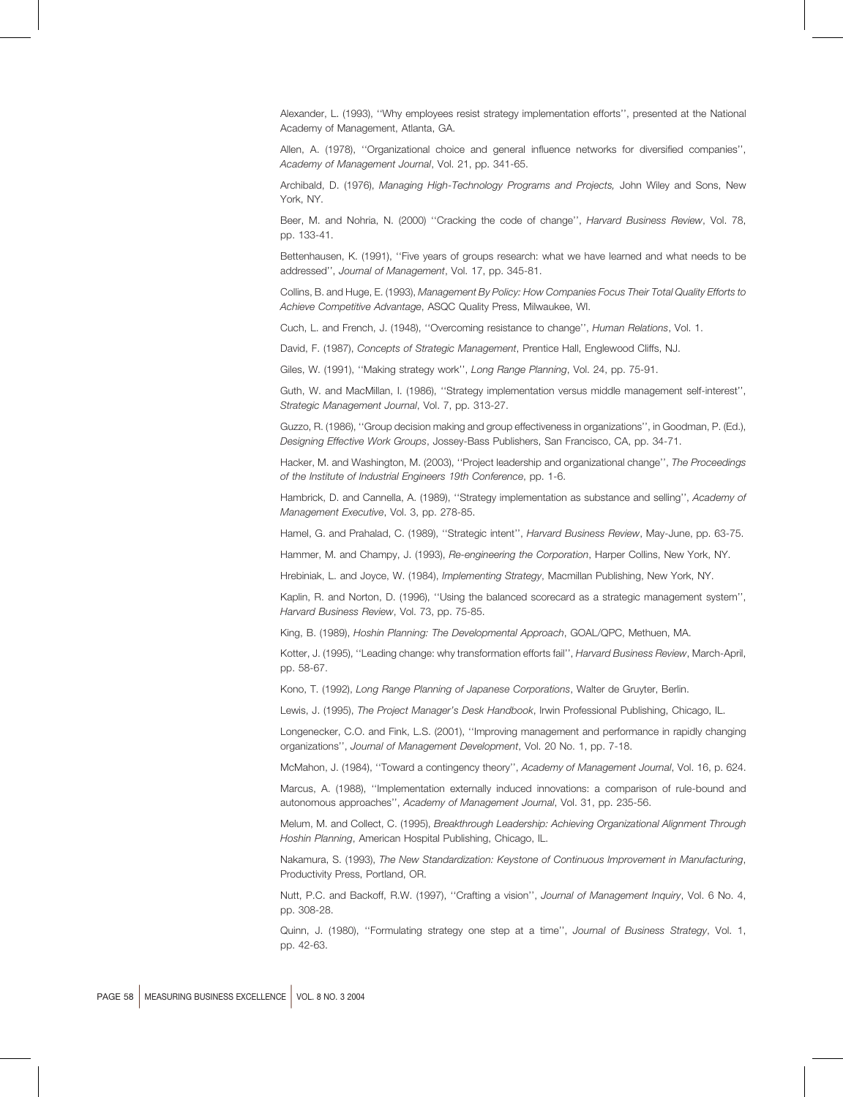Alexander, L. (1993), "Why employees resist strategy implementation efforts", presented at the National Academy of Management, Atlanta, GA.

Allen, A. (1978), "Organizational choice and general influence networks for diversified companies", Academy of Management Journal, Vol. 21, pp. 341-65.

Archibald, D. (1976), Managing High-Technology Programs and Projects, John Wiley and Sons, New York, NY.

Beer, M. and Nohria, N. (2000) "Cracking the code of change", Harvard Business Review, Vol. 78, pp. 133-41.

Bettenhausen, K. (1991), "Five years of groups research: what we have learned and what needs to be addressed", Journal of Management, Vol. 17, pp. 345-81.

Collins, B. and Huge, E. (1993), Management By Policy: How Companies Focus Their Total Quality Efforts to Achieve Competitive Advantage, ASQC Quality Press, Milwaukee, WI.

Cuch, L. and French, J. (1948), "Overcoming resistance to change", Human Relations, Vol. 1.

David, F. (1987), Concepts of Strategic Management, Prentice Hall, Englewood Cliffs, NJ.

Giles, W. (1991), "Making strategy work", Long Range Planning, Vol. 24, pp. 75-91.

Guth, W. and MacMillan, I. (1986), "Strategy implementation versus middle management self-interest", Strategic Management Journal, Vol. 7, pp. 313-27.

Guzzo, R. (1986), "Group decision making and group effectiveness in organizations", in Goodman, P. (Ed.), Designing Effective Work Groups, Jossey-Bass Publishers, San Francisco, CA, pp. 34-71.

Hacker, M. and Washington, M. (2003). "Project leadership and organizational change", The Proceedings of the Institute of Industrial Engineers 19th Conference, pp. 1-6.

Hambrick, D. and Cannella, A. (1989), "Strategy implementation as substance and selling", Academy of Management Executive, Vol. 3, pp. 278-85.

Hamel, G. and Prahalad, C. (1989), "Strategic intent", Harvard Business Review, May-June, pp. 63-75.

Hammer, M. and Champy, J. (1993), Re-engineering the Corporation, Harper Collins, New York, NY.

Hrebiniak, L. and Joyce, W. (1984), *Implementing Strategy*, Macmillan Publishing, New York, NY.

Kaplin, R. and Norton, D. (1996), "Using the balanced scorecard as a strategic management system", Harvard Business Review, Vol. 73, pp. 75-85.

King, B. (1989), Hoshin Planning: The Developmental Approach, GOAL/QPC, Methuen, MA.

Kotter, J. (1995), "Leading change: why transformation efforts fail", Harvard Business Review, March-April, pp. 58-67.

Kono, T. (1992), Long Range Planning of Japanese Corporations, Walter de Gruyter, Berlin.

Lewis, J. (1995), The Project Manager's Desk Handbook, Irwin Professional Publishing, Chicago, IL.

Longenecker, C.O. and Fink, L.S. (2001), "Improving management and performance in rapidly changing organizations", Journal of Management Development, Vol. 20 No. 1, pp. 7-18.

McMahon, J. (1984), "Toward a contingency theory", Academy of Management Journal, Vol. 16, p. 624.

Marcus, A. (1988), "Implementation externally induced innovations: a comparison of rule-bound and autonomous approaches", Academy of Management Journal, Vol. 31, pp. 235-56.

Melum, M. and Collect, C. (1995), Breakthrough Leadership: Achieving Organizational Alignment Through Hoshin Planning, American Hospital Publishing, Chicago, IL.

Nakamura, S. (1993). The New Standardization: Keystone of Continuous Improvement in Manufacturing. Productivity Press, Portland, OR.

Nutt, P.C. and Backoff, R.W. (1997), "Crafting a vision", Journal of Management Inquiry, Vol. 6 No. 4, pp. 308-28.

Quinn. J. (1980). "Formulating strategy one step at a time". Journal of Business Strategy, Vol. 1. pp. 42-63.